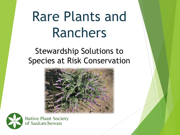# Rare Plants and Ranchers

#### Stewardship Solutions to Species at Risk Conservation





**Native Plant Society** of Saskatchewan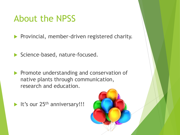#### About the NPSS

Provincial, member-driven registered charity.

Science-based, nature-focused.

Promote understanding and conservation of native plants through communication, research and education.

It's our  $25<sup>th</sup>$  anniversary!!!

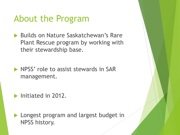## About the Program

- ▶ Builds on Nature Saskatchewan's Rare Plant Rescue program by working with their stewardship base.
- NPSS' role to assist stewards in SAR management.
- $\blacktriangleright$  Initiated in 2012.
- **Longest program and largest budget in** NPSS history.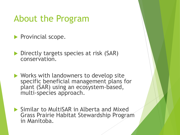#### About the Program

**Provincial scope.** 

- Directly targets species at risk (SAR) conservation.
- ▶ Works with landowners to develop site specific beneficial management plans for plant (SAR) using an ecosystem-based, multi-species approach.
- Similar to MultiSAR in Alberta and Mixed Grass Prairie Habitat Stewardship Program in Manitoba.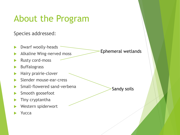# About the Program

Species addressed:

- Dwarf woolly-heads
- Alkaline Wing-nerved moss
- Rusty cord-moss
- Buffalograss
- Hairy prairie-clover
- Slender mouse-ear-cress
- Small-flowered sand-verbena
- Smooth goosefoot
- Tiny cryptantha
- Western spiderwort
- Yucca

Ephemeral wetlands

Sandy soils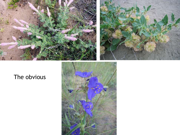

#### The obvious

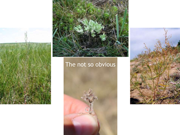



#### The not so obvious



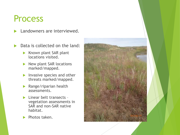#### Process

Landowners are interviewed.

Data is collected on the land:

- Known plant SAR plant locations visited.
- New plant SAR locations marked/mapped.
- Invasive species and other threats marked/mapped.
- **Range/riparian health** assessments.
- **Linear belt transects** vegetation assessments in SAR and non-SAR native habitat.
- Photos taken.

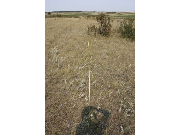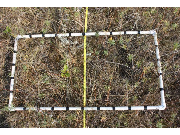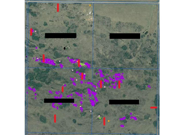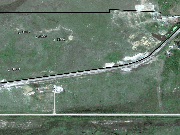![](_page_11_Picture_0.jpeg)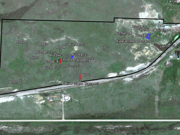BD02 o BD04<sup>o</sup> Bucdac 11 **BD03** Bucdac 12<br>Bucdac 3 <sub>00</sub> Bucdac 2  $\bullet$ Bucgae 4 P Photo of property of KBG

 $\mathbf{M}_{\text{max}} = 1$ 

Bucdae 10<br>CPhoto of buildings Buedac 14 Buedac Riparian Assessment o o Dugot

**KBG** 

**KBG** 

BD<sub>01</sub> o

**Native Grass Transect**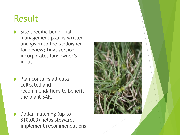### Result

- Site specific beneficial management plan is written and given to the landowner for review; final version incorporates landowner's input.
- Plan contains all data collected and recommendations to benefit the plant SAR.
- Dollar matching (up to \$10,000) helps stewards implement recommendations.

![](_page_13_Picture_4.jpeg)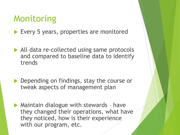#### Monitoring

Every 5 years, properties are monitored

- All data re-collected using same protocols and compared to baseline data to identify trends
- ▶ Depending on findings, stay the course or tweak aspects of management plan
- ▶ Maintain dialogue with stewards have they changed their operations, what have they noticed, how is their experience with our program, etc.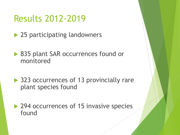## Results 2012-2019

- ▶ 25 participating landowners
- ▶ 835 plant SAR occurrences found or monitored
- ▶ 323 occurrences of 13 provincially rare plant species found

▶ 294 occurrences of 15 invasive species found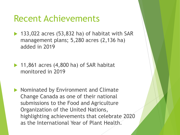#### Recent Achievements

- $\blacktriangleright$  133,022 acres (53,832 ha) of habitat with SAR management plans; 5,280 acres (2,136 ha) added in 2019
- $\blacktriangleright$  11,861 acres (4,800 ha) of SAR habitat monitored in 2019
- Nominated by Environment and Climate Change Canada as one of their national submissions to the Food and Agriculture Organization of the United Nations, highlighting achievements that celebrate 2020 as the International Year of Plant Health.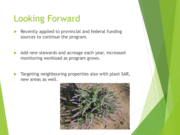## Looking Forward

- Recently applied to provincial and federal funding sources to continue the program.
- Add new stewards and acreage each year, increased monitoring workload as program grows.
- Targeting neighbouring properties also with plant SAR, new areas as well.

![](_page_17_Picture_4.jpeg)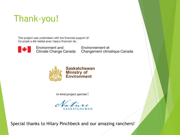# Thank-you!

This project was undertaken with the financial support of: Ce projet a été réalisé avec l'appui financier de :

![](_page_18_Picture_2.jpeg)

Environment and Climate Change Canada Environnement et Changement climatique Canada

![](_page_18_Picture_5.jpeg)

In-kind project partner:

ature SASKATCHEWAN

Special thanks to Hilary Pinchbeck and our amazing ranchers!